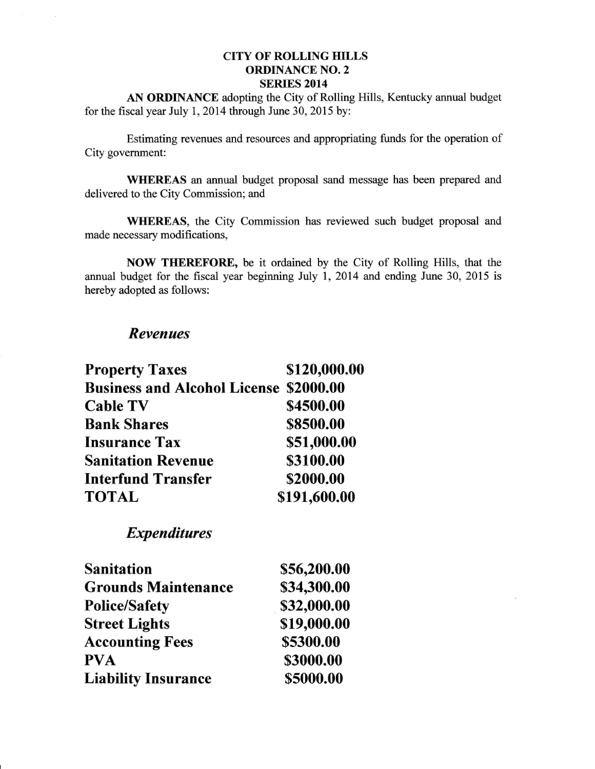## CITY OF ROLLING HILLS ORDINANCE NO.2 SERIES 2014

AN ORDINANCE adopting the City of Rolling Hills, Kentucky annual budget for the fiscal year July 1,2014 through June 30, 2015 by:

Estimating revenues and resources and appropriating funds for the operation of City government:

WHEREAS an annual budget proposal sand message has been prepared and delivered to the City Commission; and

WHEREAS, the City Commission has reviewed such budget proposal and made necessary modifications,

NOW TIIEREFORE, be it ordained by the City of Rolling Hills, that the annual budget for the fiscal year beginning July 1, 2014 and ending June 30,2015 is hereby adopted as follows:

## Revenues

| <b>Property Taxes</b>                         | \$120,000.00 |
|-----------------------------------------------|--------------|
| <b>Business and Alcohol License \$2000.00</b> |              |
| <b>Cable TV</b>                               | \$4500.00    |
| <b>Bank Shares</b>                            | \$8500.00    |
| <b>Insurance Tax</b>                          | \$51,000.00  |
| <b>Sanitation Revenue</b>                     | \$3100.00    |
| <b>Interfund Transfer</b>                     | \$2000.00    |
| TOTAL                                         | \$191,600.00 |
|                                               |              |

Expenditures

| <b>Sanitation</b>          | \$56,200.00 |
|----------------------------|-------------|
| <b>Grounds Maintenance</b> | \$34,300.00 |
| <b>Police/Safety</b>       | \$32,000.00 |
| <b>Street Lights</b>       | \$19,000.00 |
| <b>Accounting Fees</b>     | \$5300.00   |
| PVA                        | \$3000.00   |
| <b>Liability Insurance</b> | \$5000.00   |